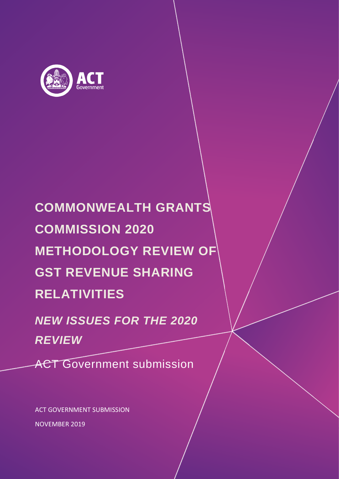

# **COMMONWEALTH GRANTS COMMISSION 2020 METHODOLOGY REVIEW OF GST REVENUE SHARING RELATIVITIES**

**ACT GOVERNMENT RESPONSE ON COMMONWEALTH GRANTS COMMISSION 2020 REVIEW OF GST REVENUE SHARING RELATIVITIES NEW ISSUES DISCUSSION PAPER**

*NEW ISSUES FOR THE 2020* 

*REVIEW*

ACT Government submission

For  $\mathcal{A}$  and enguires regarding this ACT Government response please contact Atre

ACT GOVERNMENT SUBMISSION

NOVEMBER 2019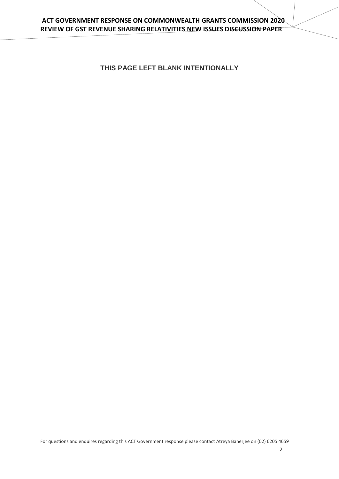**ACT GOVERNMENT RESPONSE ON COMMONWEALTH GRANTS COMMISSION 2020 REVIEW OF GST REVENUE SHARING RELATIVITIES NEW ISSUES DISCUSSION PAPER**

**THIS PAGE LEFT BLANK INTENTIONALLY**

For questions and enquires regarding this ACT Government response please contact Atreya Banerjee on (02) 6205 4659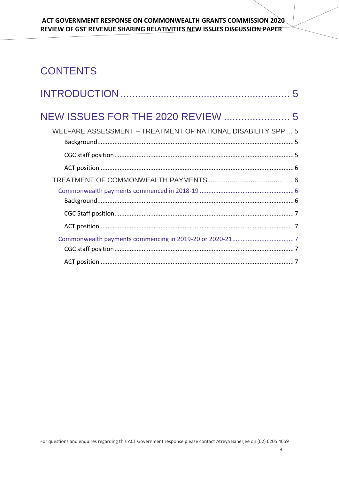# **CONTENTS**

| 5                                                           |
|-------------------------------------------------------------|
| <b>NEW ISSUES FOR THE 2020 REVIEW  5</b>                    |
| WELFARE ASSESSMENT – TREATMENT OF NATIONAL DISABILITY SPP 5 |
|                                                             |
|                                                             |
|                                                             |
|                                                             |
|                                                             |
|                                                             |
|                                                             |
|                                                             |
|                                                             |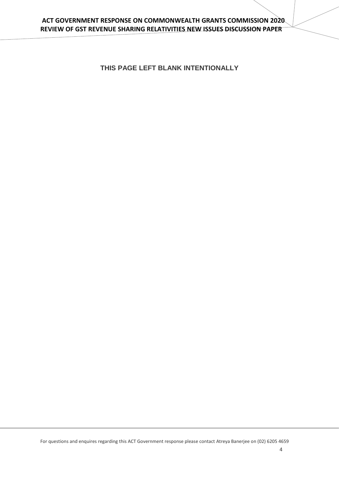**ACT GOVERNMENT RESPONSE ON COMMONWEALTH GRANTS COMMISSION 2020 REVIEW OF GST REVENUE SHARING RELATIVITIES NEW ISSUES DISCUSSION PAPER**

**THIS PAGE LEFT BLANK INTENTIONALLY**

For questions and enquires regarding this ACT Government response please contact Atreya Banerjee on (02) 6205 4659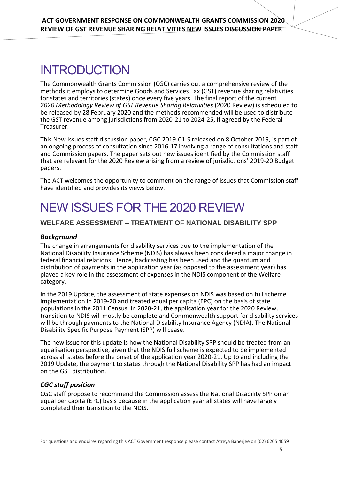# <span id="page-4-0"></span>**INTRODUCTION**

The Commonwealth Grants Commission (CGC) carries out a comprehensive review of the methods it employs to determine Goods and Services Tax (GST) revenue sharing relativities for states and territories (states) once every five years. The final report of the current *2020 Methodology Review of GST Revenue Sharing Relativities* (2020 Review) is scheduled to be released by 28 February 2020 and the methods recommended will be used to distribute the GST revenue among jurisdictions from 2020-21 to 2024-25, if agreed by the Federal Treasurer.

This New Issues staff discussion paper, CGC 2019-01-S released on 8 October 2019, is part of an ongoing process of consultation since 2016-17 involving a range of consultations and staff and Commission papers. The paper sets out new issues identified by the Commission staff that are relevant for the 2020 Review arising from a review of jurisdictions' 2019-20 Budget papers.

The ACT welcomes the opportunity to comment on the range of issues that Commission staff have identified and provides its views below.

# <span id="page-4-1"></span>NEW ISSUES FOR THE 2020 REVIEW

### <span id="page-4-2"></span>**WELFARE ASSESSMENT – TREATMENT OF NATIONAL DISABILITY SPP**

### <span id="page-4-3"></span>*Background*

The change in arrangements for disability services due to the implementation of the National Disability Insurance Scheme (NDIS) has always been considered a major change in federal financial relations. Hence, backcasting has been used and the quantum and distribution of payments in the application year (as opposed to the assessment year) has played a key role in the assessment of expenses in the NDIS component of the Welfare category.

In the 2019 Update, the assessment of state expenses on NDIS was based on full scheme implementation in 2019-20 and treated equal per capita (EPC) on the basis of state populations in the 2011 Census. In 2020-21, the application year for the 2020 Review, transition to NDIS will mostly be complete and Commonwealth support for disability services will be through payments to the National Disability Insurance Agency (NDIA). The National Disability Specific Purpose Payment (SPP) will cease.

The new issue for this update is how the National Disability SPP should be treated from an equalisation perspective, given that the NDIS full scheme is expected to be implemented across all states before the onset of the application year 2020-21. Up to and including the 2019 Update, the payment to states through the National Disability SPP has had an impact on the GST distribution.

### <span id="page-4-4"></span>*CGC staff position*

CGC staff propose to recommend the Commission assess the National Disability SPP on an equal per capita (EPC) basis because in the application year all states will have largely completed their transition to the NDIS.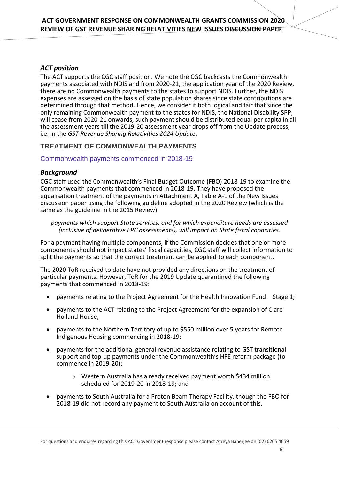### <span id="page-5-0"></span>*ACT position*

The ACT supports the CGC staff position. We note the CGC backcasts the Commonwealth payments associated with NDIS and from 2020-21, the application year of the 2020 Review, there are no Commonwealth payments to the states to support NDIS. Further, the NDIS expenses are assessed on the basis of state population shares since state contributions are determined through that method. Hence, we consider it both logical and fair that since the only remaining Commonwealth payment to the states for NDIS, the National Disability SPP, will cease from 2020-21 onwards, such payment should be distributed equal per capita in all the assessment years till the 2019-20 assessment year drops off from the Update process, i.e. in the *GST Revenue Sharing Relativities 2024 Update*.

## <span id="page-5-1"></span>**TREATMENT OF COMMONWEALTH PAYMENTS**

#### <span id="page-5-2"></span>Commonwealth payments commenced in 2018-19

#### <span id="page-5-3"></span>*Background*

CGC staff used the Commonwealth's Final Budget Outcome (FBO) 2018-19 to examine the Commonwealth payments that commenced in 2018-19. They have proposed the equalisation treatment of the payments in Attachment A, Table A-1 of the New Issues discussion paper using the following guideline adopted in the 2020 Review (which is the same as the guideline in the 2015 Review):

*payments which support State services, and for which expenditure needs are assessed (inclusive of deliberative EPC assessments), will impact on State fiscal capacities.*

For a payment having multiple components, if the Commission decides that one or more components should not impact states' fiscal capacities, CGC staff will collect information to split the payments so that the correct treatment can be applied to each component.

The 2020 ToR received to date have not provided any directions on the treatment of particular payments. However, ToR for the 2019 Update quarantined the following payments that commenced in 2018-19:

- payments relating to the Project Agreement for the Health Innovation Fund Stage 1;
- payments to the ACT relating to the Project Agreement for the expansion of Clare Holland House;
- payments to the Northern Territory of up to \$550 million over 5 years for Remote Indigenous Housing commencing in 2018-19;
- payments for the additional general revenue assistance relating to GST transitional support and top-up payments under the Commonwealth's HFE reform package (to commence in 2019-20);
	- o Western Australia has already received payment worth \$434 million scheduled for 2019-20 in 2018-19; and
- payments to South Australia for a Proton Beam Therapy Facility, though the FBO for 2018-19 did not record any payment to South Australia on account of this.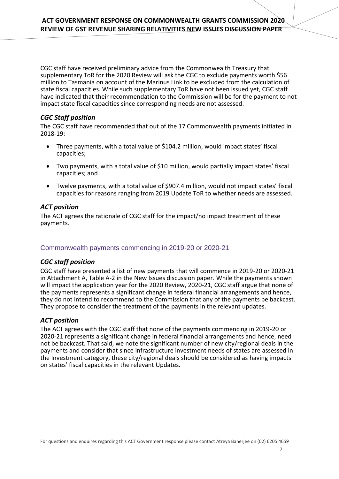CGC staff have received preliminary advice from the Commonwealth Treasury that supplementary ToR for the 2020 Review will ask the CGC to exclude payments worth \$56 million to Tasmania on account of the Marinus Link to be excluded from the calculation of state fiscal capacities. While such supplementary ToR have not been issued yet, CGC staff have indicated that their recommendation to the Commission will be for the payment to not impact state fiscal capacities since corresponding needs are not assessed.

#### <span id="page-6-0"></span>*CGC Staff position*

The CGC staff have recommended that out of the 17 Commonwealth payments initiated in 2018-19:

- Three payments, with a total value of \$104.2 million, would impact states' fiscal capacities;
- Two payments, with a total value of \$10 million, would partially impact states' fiscal capacities; and
- Twelve payments, with a total value of \$907.4 million, would not impact states' fiscal capacities for reasons ranging from 2019 Update ToR to whether needs are assessed.

### <span id="page-6-1"></span>*ACT position*

The ACT agrees the rationale of CGC staff for the impact/no impact treatment of these payments.

### <span id="page-6-2"></span>Commonwealth payments commencing in 2019-20 or 2020-21

### <span id="page-6-3"></span>*CGC staff position*

CGC staff have presented a list of new payments that will commence in 2019-20 or 2020-21 in Attachment A, Table A-2 in the New Issues discussion paper. While the payments shown will impact the application year for the 2020 Review, 2020-21, CGC staff argue that none of the payments represents a significant change in federal financial arrangements and hence, they do not intend to recommend to the Commission that any of the payments be backcast. They propose to consider the treatment of the payments in the relevant updates.

#### <span id="page-6-4"></span>*ACT position*

The ACT agrees with the CGC staff that none of the payments commencing in 2019-20 or 2020-21 represents a significant change in federal financial arrangements and hence, need not be backcast. That said, we note the significant number of new city/regional deals in the payments and consider that since infrastructure investment needs of states are assessed in the Investment category, these city/regional deals should be considered as having impacts on states' fiscal capacities in the relevant Updates.